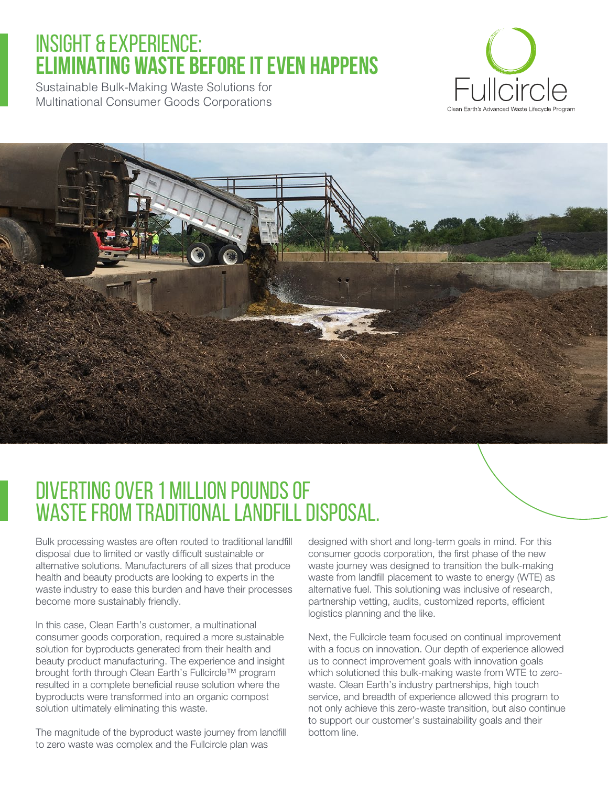# INSIGHT & EXPERIENCE: **ELIMINATING WASTE BEFORE IT EVEN HAPPENS**

Sustainable Bulk-Making Waste Solutions for Multinational Consumer Goods Corporations





# Diverting Over 1 Million Pounds of WASTE FROM TRADITIONAL LANDFILL DISPOSAL.

Bulk processing wastes are often routed to traditional landfill disposal due to limited or vastly difficult sustainable or alternative solutions. Manufacturers of all sizes that produce health and beauty products are looking to experts in the waste industry to ease this burden and have their processes become more sustainably friendly.

In this case, Clean Earth's customer, a multinational consumer goods corporation, required a more sustainable solution for byproducts generated from their health and beauty product manufacturing. The experience and insight brought forth through Clean Earth's Fullcircle™ program resulted in a complete beneficial reuse solution where the byproducts were transformed into an organic compost solution ultimately eliminating this waste.

The magnitude of the byproduct waste journey from landfill to zero waste was complex and the Fullcircle plan was

designed with short and long-term goals in mind. For this consumer goods corporation, the first phase of the new waste journey was designed to transition the bulk-making waste from landfill placement to waste to energy (WTE) as alternative fuel. This solutioning was inclusive of research, partnership vetting, audits, customized reports, efficient logistics planning and the like.

Next, the Fullcircle team focused on continual improvement with a focus on innovation. Our depth of experience allowed us to connect improvement goals with innovation goals which solutioned this bulk-making waste from WTE to zerowaste. Clean Earth's industry partnerships, high touch service, and breadth of experience allowed this program to not only achieve this zero-waste transition, but also continue to support our customer's sustainability goals and their bottom line.